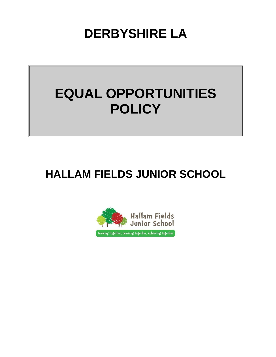**DERBYSHIRE LA**

# **EQUAL OPPORTUNITIES POLICY**

# **HALLAM FIELDS JUNIOR SCHOOL**

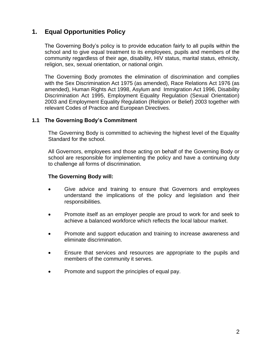### **1. Equal Opportunities Policy**

The Governing Body's policy is to provide education fairly to all pupils within the school and to give equal treatment to its employees, pupils and members of the community regardless of their age, disability, HIV status, marital status, ethnicity, religion, sex, sexual orientation, or national origin.

The Governing Body promotes the elimination of discrimination and complies with the Sex Discrimination Act 1975 (as amended), Race Relations Act 1976 (as amended), Human Rights Act 1998, Asylum and Immigration Act 1996, Disability Discrimination Act 1995, Employment Equality Regulation (Sexual Orientation) 2003 and Employment Equality Regulation (Religion or Belief) 2003 together with relevant Codes of Practice and European Directives.

#### **1.1 The Governing Body's Commitment**

The Governing Body is committed to achieving the highest level of the Equality Standard for the school.

All Governors, employees and those acting on behalf of the Governing Body or school are responsible for implementing the policy and have a continuing duty to challenge all forms of discrimination.

#### **The Governing Body will:**

- Give advice and training to ensure that Governors and employees understand the implications of the policy and legislation and their responsibilities.
- Promote itself as an employer people are proud to work for and seek to achieve a balanced workforce which reflects the local labour market.
- Promote and support education and training to increase awareness and eliminate discrimination.
- Ensure that services and resources are appropriate to the pupils and members of the community it serves.
- Promote and support the principles of equal pay.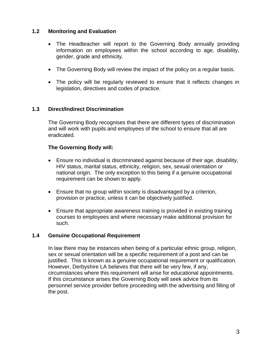#### **1.2 Monitoring and Evaluation**

- The Headteacher will report to the Governing Body annually providing information on employees within the school according to age, disability, gender, grade and ethnicity.
- The Governing Body will review the impact of the policy on a regular basis.
- The policy will be regularly reviewed to ensure that it reflects changes in legislation, directives and codes of practice.

#### **1.3 Direct/Indirect Discrimination**

The Governing Body recognises that there are different types of discrimination and will work with pupils and employees of the school to ensure that all are eradicated.

#### **The Governing Body will:**

- Ensure no individual is discriminated against because of their age, disability, HIV status, marital status, ethnicity, religion, sex, sexual orientation or national origin. The only exception to this being if a genuine occupational requirement can be shown to apply.
- Ensure that no group within society is disadvantaged by a criterion, provision or practice, unless it can be objectively justified.
- Ensure that appropriate awareness training is provided in existing training courses to employees and where necessary make additional provision for such.

#### **1.4 Genuine Occupational Requirement**

In law there may be instances when being of a particular ethnic group, religion, sex or sexual orientation will be a specific requirement of a post and can be justified. This is known as a genuine occupational requirement or qualification. However, Derbyshire LA believes that there will be very few, if any, circumstances where this requirement will arise for educational appointments. If this circumstance arises the Governing Body will seek advice from its personnel service provider before proceeding with the advertising and filling of the post.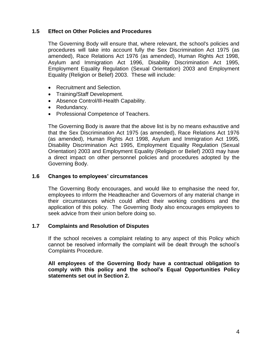#### **1.5 Effect on Other Policies and Procedures**

The Governing Body will ensure that, where relevant, the school's policies and procedures will take into account fully the Sex Discrimination Act 1975 (as amended), Race Relations Act 1976 (as amended), Human Rights Act 1998, Asylum and Immigration Act 1996, Disability Discrimination Act 1995, Employment Equality Regulation (Sexual Orientation) 2003 and Employment Equality (Religion or Belief) 2003. These will include:

- Recruitment and Selection.
- Training/Staff Development.
- Absence Control/Ill-Health Capability.
- Redundancy.
- Professional Competence of Teachers.

The Governing Body is aware that the above list is by no means exhaustive and that the Sex Discrimination Act 1975 (as amended), Race Relations Act 1976 (as amended), Human Rights Act 1998, Asylum and Immigration Act 1995, Disability Discrimination Act 1995, Employment Equality Regulation (Sexual Orientation) 2003 and Employment Equality (Religion or Belief) 2003 may have a direct impact on other personnel policies and procedures adopted by the Governing Body.

#### **1.6 Changes to employees' circumstances**

The Governing Body encourages, and would like to emphasise the need for, employees to inform the Headteacher and Governors of any material change in their circumstances which could affect their working conditions and the application of this policy. The Governing Body also encourages employees to seek advice from their union before doing so.

#### **1.7 Complaints and Resolution of Disputes**

If the school receives a complaint relating to any aspect of this Policy which cannot be resolved informally the complaint will be dealt through the school's Complaints Procedure.

**All employees of the Governing Body have a contractual obligation to comply with this policy and the school's Equal Opportunities Policy statements set out in Section 2.**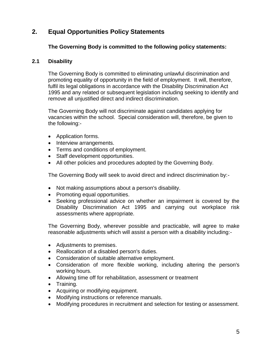## **2. Equal Opportunities Policy Statements**

#### **The Governing Body is committed to the following policy statements:**

#### **2.1 Disability**

The Governing Body is committed to eliminating unlawful discrimination and promoting equality of opportunity in the field of employment. It will, therefore, fulfil its legal obligations in accordance with the Disability Discrimination Act 1995 and any related or subsequent legislation including seeking to identify and remove all unjustified direct and indirect discrimination.

The Governing Body will not discriminate against candidates applying for vacancies within the school. Special consideration will, therefore, be given to the following:-

- Application forms.
- Interview arrangements.
- Terms and conditions of employment.
- Staff development opportunities.
- All other policies and procedures adopted by the Governing Body.

The Governing Body will seek to avoid direct and indirect discrimination by:-

- Not making assumptions about a person's disability.
- Promoting equal opportunities.
- Seeking professional advice on whether an impairment is covered by the Disability Discrimination Act 1995 and carrying out workplace risk assessments where appropriate.

The Governing Body, wherever possible and practicable, will agree to make reasonable adjustments which will assist a person with a disability including:-

- Adjustments to premises.
- Reallocation of a disabled person's duties.
- Consideration of suitable alternative employment.
- Consideration of more flexible working, including altering the person's working hours.
- Allowing time off for rehabilitation, assessment or treatment
- Training.
- Acquiring or modifying equipment.
- Modifying instructions or reference manuals.
- Modifying procedures in recruitment and selection for testing or assessment.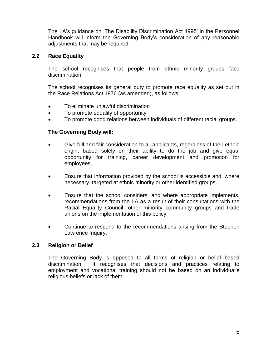The LA's guidance on 'The Disability Discrimination Act 1995' in the Personnel Handbook will inform the Governing Body's consideration of any reasonable adjustments that may be required.

#### **2.2 Race Equality**

The school recognises that people from ethnic minority groups face discrimination.

The school recognises its general duty to promote race equality as set out in the Race Relations Act 1976 (as amended), as follows:

- To eliminate unlawful discrimination
- To promote equality of opportunity
- To promote good relations between individuals of different racial groups.

#### **The Governing Body will:**

- Give full and fair consideration to all applicants, regardless of their ethnic origin, based solely on their ability to do the job and give equal opportunity for training, career development and promotion for employees.
- Ensure that information provided by the school is accessible and, where necessary, targeted at ethnic minority or other identified groups.
- Ensure that the school considers, and where appropriate implements, recommendations from the LA as a result of their consultations with the Racial Equality Council, other minority community groups and trade unions on the implementation of this policy.
- Continue to respond to the recommendations arising from the Stephen Lawrence Inquiry.

#### **2.3 Religion or Belief**

The Governing Body is opposed to all forms of religion or belief based discrimination. It recognises that decisions and practices relating to employment and vocational training should not be based on an individual's religious beliefs or lack of them.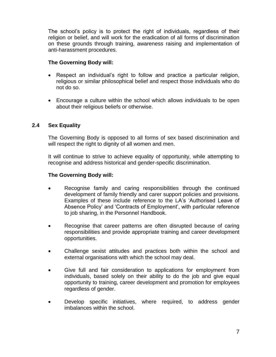The school's policy is to protect the right of individuals, regardless of their religion or belief, and will work for the eradication of all forms of discrimination on these grounds through training, awareness raising and implementation of anti-harassment procedures.

#### **The Governing Body will:**

- Respect an individual's right to follow and practice a particular religion, religious or similar philosophical belief and respect those individuals who do not do so.
- Encourage a culture within the school which allows individuals to be open about their religious beliefs or otherwise.

#### **2.4 Sex Equality**

The Governing Body is opposed to all forms of sex based discrimination and will respect the right to dignity of all women and men.

It will continue to strive to achieve equality of opportunity, while attempting to recognise and address historical and gender-specific discrimination.

#### **The Governing Body will:**

- Recognise family and caring responsibilities through the continued development of family friendly and carer support policies and provisions. Examples of these include reference to the LA's 'Authorised Leave of Absence Policy' and 'Contracts of Employment', with particular reference to job sharing, in the Personnel Handbook.
- Recognise that career patterns are often disrupted because of caring responsibilities and provide appropriate training and career development opportunities.
- Challenge sexist attitudes and practices both within the school and external organisations with which the school may deal.
- Give full and fair consideration to applications for employment from individuals, based solely on their ability to do the job and give equal opportunity to training, career development and promotion for employees regardless of gender.
- Develop specific initiatives, where required, to address gender imbalances within the school.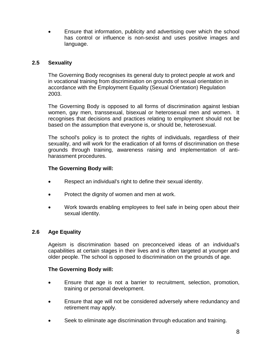Ensure that information, publicity and advertising over which the school has control or influence is non-sexist and uses positive images and language.

#### **2.5 Sexuality**

The Governing Body recognises its general duty to protect people at work and in vocational training from discrimination on grounds of sexual orientation in accordance with the Employment Equality (Sexual Orientation) Regulation 2003.

The Governing Body is opposed to all forms of discrimination against lesbian women, gay men, transsexual, bisexual or heterosexual men and women. It recognises that decisions and practices relating to employment should not be based on the assumption that everyone is, or should be, heterosexual.

The school's policy is to protect the rights of individuals, regardless of their sexuality, and will work for the eradication of all forms of discrimination on these grounds through training, awareness raising and implementation of antiharassment procedures.

#### **The Governing Body will:**

- Respect an individual's right to define their sexual identity.
- Protect the dignity of women and men at work.
- Work towards enabling employees to feel safe in being open about their sexual identity.

#### **2.6 Age Equality**

Ageism is discrimination based on preconceived ideas of an individual's capabilities at certain stages in their lives and is often targeted at younger and older people. The school is opposed to discrimination on the grounds of age.

#### **The Governing Body will:**

- Ensure that age is not a barrier to recruitment, selection, promotion, training or personal development.
- Ensure that age will not be considered adversely where redundancy and retirement may apply.
- Seek to eliminate age discrimination through education and training.